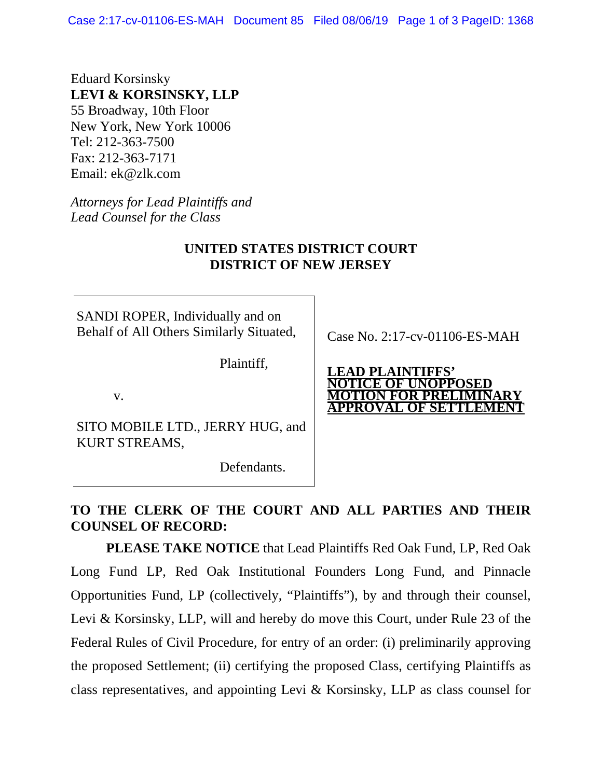Case 2:17-cv-01106-ES-MAH Document 85 Filed 08/06/19 Page 1 of 3 PageID: 1368

Eduard Korsinsky **LEVI & KORSINSKY, LLP**  55 Broadway, 10th Floor New York, New York 10006 Tel: 212-363-7500 Fax: 212-363-7171 Email: ek@zlk.com

*Attorneys for Lead Plaintiffs and Lead Counsel for the Class*

## **UNITED STATES DISTRICT COURT DISTRICT OF NEW JERSEY**

SANDI ROPER, Individually and on Behalf of All Others Similarly Situated,

Plaintiff,

v.

SITO MOBILE LTD., JERRY HUG, and KURT STREAMS,

Defendants.

Case No. 2:17-cv-01106-ES-MAH

**LEAD PLAINTIFFS' NOTICE OF UNOPPOSED MOTION FOR PRELIMINARY APPROVAL OF SETTLEMENT** 

## **TO THE CLERK OF THE COURT AND ALL PARTIES AND THEIR COUNSEL OF RECORD:**

**PLEASE TAKE NOTICE** that Lead Plaintiffs Red Oak Fund, LP, Red Oak Long Fund LP, Red Oak Institutional Founders Long Fund, and Pinnacle Opportunities Fund, LP (collectively, "Plaintiffs"), by and through their counsel, Levi & Korsinsky, LLP, will and hereby do move this Court, under Rule 23 of the Federal Rules of Civil Procedure, for entry of an order: (i) preliminarily approving the proposed Settlement; (ii) certifying the proposed Class, certifying Plaintiffs as class representatives, and appointing Levi & Korsinsky, LLP as class counsel for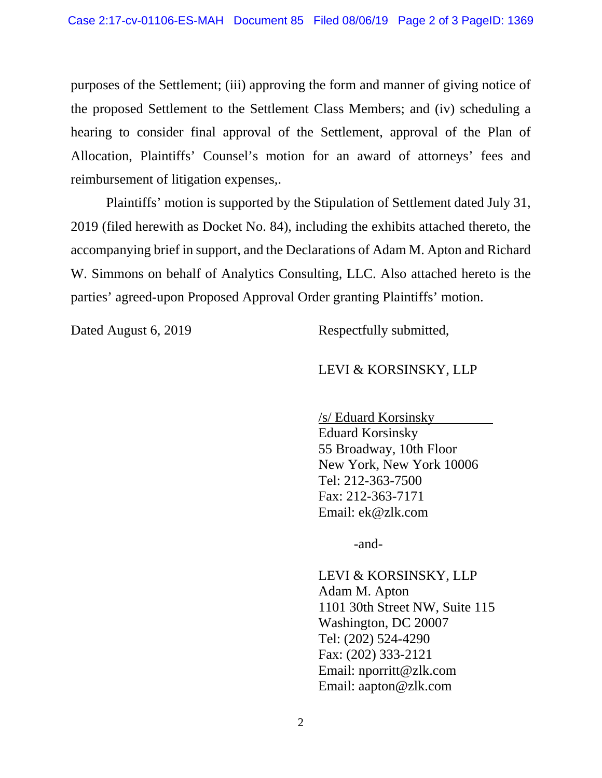purposes of the Settlement; (iii) approving the form and manner of giving notice of the proposed Settlement to the Settlement Class Members; and (iv) scheduling a hearing to consider final approval of the Settlement, approval of the Plan of Allocation, Plaintiffs' Counsel's motion for an award of attorneys' fees and reimbursement of litigation expenses,.

Plaintiffs' motion is supported by the Stipulation of Settlement dated July 31, 2019 (filed herewith as Docket No. 84), including the exhibits attached thereto, the accompanying brief in support, and the Declarations of Adam M. Apton and Richard W. Simmons on behalf of Analytics Consulting, LLC. Also attached hereto is the parties' agreed-upon Proposed Approval Order granting Plaintiffs' motion.

Dated August 6, 2019 Respectfully submitted,

## LEVI & KORSINSKY, LLP

/s/ Eduard Korsinsky . Eduard Korsinsky 55 Broadway, 10th Floor New York, New York 10006 Tel: 212-363-7500 Fax: 212-363-7171 Email: ek@zlk.com

-and-

LEVI & KORSINSKY, LLP Adam M. Apton 1101 30th Street NW, Suite 115 Washington, DC 20007 Tel: (202) 524-4290 Fax: (202) 333-2121 Email: nporritt@zlk.com Email: aapton@zlk.com